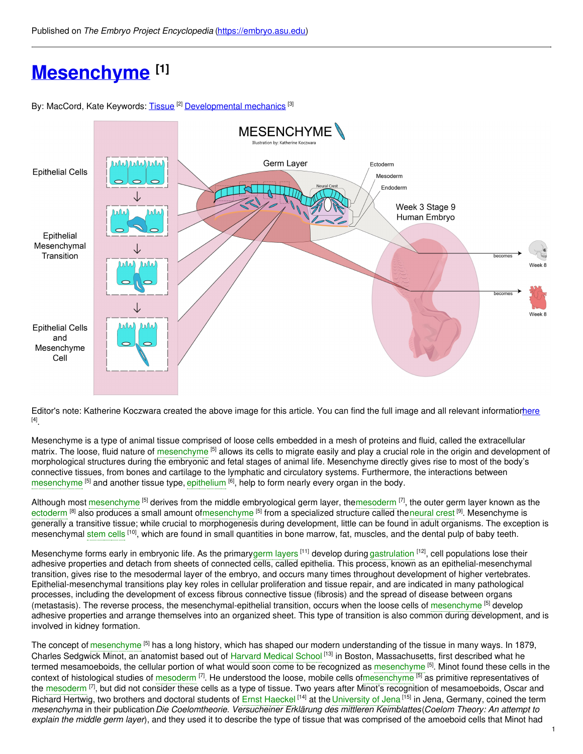# **[Mesenchyme](https://embryo.asu.edu/pages/mesenchyme) [1]**

By: MacCord, Kate Keywords: <u>[Tissue](https://embryo.asu.edu/keywords/tissue)</u> <sup>[2]</sup> <u>[Developmental](https://embryo.asu.edu/keywords/developmental-mechanics) mechanics</u> <sup>[3]</sup>



Editor's note: Katherine Koczwara created the above image for this article. You can find the full image and all relevant informatio[nhere](https://embryo.asu.edu/pages/mesenchyme-0) [4] .

Mesenchyme is a type of animal tissue comprised of loose cells embedded in a mesh of proteins and fluid, called the extracellular matrix. The loose, fluid nature of [mesenchyme](https://embryo.asu.edu/search?text=mesenchyme) <sup>[5]</sup> allows its cells to migrate easily and play a crucial role in the origin and development of morphological structures during the embryonic and fetal stages of animal life. Mesenchyme directly gives rise to most of the body's connective tissues, from bones and cartilage to the lymphatic and circulatory systems. Furthermore, the interactions between [mesenchyme](https://embryo.asu.edu/search?text=mesenchyme) <sup>[5]</sup> and another tissue type, [epithelium](https://embryo.asu.edu/search?text=epithelium) <sup>[6]</sup>, help to form nearly every organ in the body.

Although most [mesenchyme](https://embryo.asu.edu/search?text=mesenchyme) <sup>[5]</sup> derives from the middle embryological germ layer, the[mesoderm](https://embryo.asu.edu/search?text=mesoderm) [7], the outer germ layer known as the [ectoderm](https://embryo.asu.edu/search?text=ectoderm) <sup>[8]</sup> also produces a small amount o[fmesenchyme](https://embryo.asu.edu/search?text=mesenchyme) <sup>[5]</sup> from a specialized structure called the[neural](https://embryo.asu.edu/search?text=neural%20crest) crest <sup>[9]</sup>. Mesenchyme is generally a transitive tissue; while crucial to morphogenesis during development, little can be found in adult organisms. The exception is mesenchymal [stem](https://embryo.asu.edu/search?text=stem%20cells) cells <sup>[10]</sup>, which are found in small quantities in bone marrow, fat, muscles, and the dental pulp of baby teeth.

Mesenchyme forms early in embryonic life. As the primarygerm [layers](https://embryo.asu.edu/search?text=germ%20layers) <sup>[11]</sup> develop during [gastrulation](https://embryo.asu.edu/search?text=gastrulation) <sup>[12]</sup>, cell populations lose their adhesive properties and detach from sheets of connected cells, called epithelia. This process, known as an epithelial-mesenchymal transition, gives rise to the mesodermal layer of the embryo, and occurs many times throughout development of higher vertebrates. Epithelial-mesenchymal transitions play key roles in cellular proliferation and tissue repair, and are indicated in many pathological processes, including the development of excess fibrous connective tissue (fibrosis) and the spread of disease between organs (metastasis). The reverse process, the mesenchymal-epithelial transition, occurs when the loose cells of [mesenchyme](https://embryo.asu.edu/search?text=mesenchyme) <sup>[5]</sup> develop adhesive properties and arrange themselves into an organized sheet. This type of transition is also common during development, and is involved in kidney formation.

The concept of [mesenchyme](https://embryo.asu.edu/search?text=mesenchyme) <sup>[5]</sup> has a long history, which has shaped our modern understanding of the tissue in many ways. In 1879, Charles Sedgwick Minot, an anatomist based out of [Harvard](https://embryo.asu.edu/search?text=Harvard%20Medical%20School) Medical School <sup>[13]</sup> in Boston, Massachusetts, first described what he termed mesamoeboids, the cellular portion of what would soon come to be recognized as [mesenchyme](https://embryo.asu.edu/search?text=mesenchyme) <sup>[5]</sup>. Minot found these cells in the context of histological studies of [mesoderm](https://embryo.asu.edu/search?text=mesoderm)  $^{[7]}$ . He understood the loose, mobile cells o[fmesenchyme](https://embryo.asu.edu/search?text=mesenchyme) <sup>[5]</sup> as primitive representatives of the [mesoderm](https://embryo.asu.edu/search?text=mesoderm)  $^{[7]}$ , but did not consider these cells as a type of tissue. Two years after Minot's recognition of mesamoeboids, Oscar and Richard Hertwig, two brothers and doctoral students of Ernst [Haeckel](https://embryo.asu.edu/search?text=Ernst%20Haeckel) <sup>[14]</sup> at the [University](https://embryo.asu.edu/search?text=University%20of%20Jena) of Jena <sup>[15]</sup> in Jena, Germany, coined the term *mesenchyma* in their publication*Die Coelomtheorie. Versucheiner Erklärung des mittleren Keimblattes*(*Coelom Theory: An attempt to explain the middle germ layer*), and they used it to describe the type of tissue that was comprised of the amoeboid cells that Minot had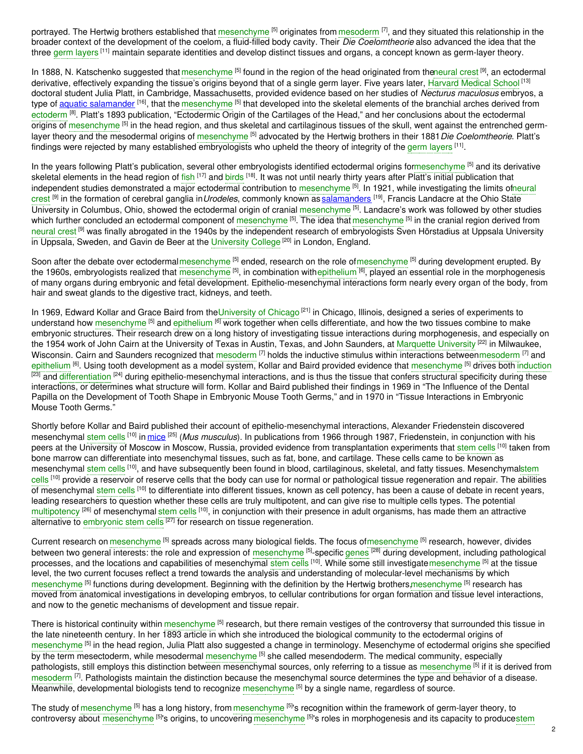portrayed. The Hertwig brothers established that [mesenchyme](https://embryo.asu.edu/search?text=mesenchyme) <sup>[5]</sup> originates from [mesoderm](https://embryo.asu.edu/search?text=mesoderm) <sup>[7]</sup>, and they situated this relationship in the broader context of the development of the coelom, a fluid-filled body cavity. Their *Die Coelomtheorie* also advanced the idea that the three germ [layers](https://embryo.asu.edu/search?text=germ%20layers) <sup>[11]</sup> maintain separate identities and develop distinct tissues and organs, a concept known as germ-layer theory.

In 1888, N. Katschenko suggested that [mesenchyme](https://embryo.asu.edu/search?text=mesenchyme) <sup>[5]</sup> found in the region of the head originated from th[eneural](https://embryo.asu.edu/search?text=neural%20crest) crest <sup>[9]</sup>, an ectodermal derivative, effectively expanding the tissue's origins beyond that of a single germ layer. Five years later, [Harvard](https://embryo.asu.edu/search?text=Harvard%20Medical%20School) Medical School <sup>[13]</sup> doctoral student Julia Platt, in Cambridge, Massachusetts, provided evidence based on her studies of *Necturus maculosus* embryos, a type of <u>aquatic [salamander](http://eol.org/pages/313513/overview) [16],</u> that the [mesenchyme](https://embryo.asu.edu/search?text=mesenchyme) [5] that developed into the skeletal elements of the branchial arches derived from [ectoderm](https://embryo.asu.edu/search?text=ectoderm) <sup>[8]</sup>. Platt's 1893 publication, "Ectodermic Origin of the Cartilages of the Head," and her conclusions about the ectodermal origins of [mesenchyme](https://embryo.asu.edu/search?text=mesenchyme) <sup>[5]</sup> in the head region, and thus skeletal and cartilaginous tissues of the skull, went against the entrenched germlayer theory and the mesodermal origins of [mesenchyme](https://embryo.asu.edu/search?text=mesenchyme) <sup>[5]</sup> advocated by the Hertwig brothers in their 1881*Die Coelomtheorie*. Platt's findings were rejected by many established embryologists who upheld the theory of integrity of the germ [layers](https://embryo.asu.edu/search?text=germ%20layers) <sup>[11]</sup>.

In the years following Platt's publication, several other embryologists identified ectodermal origins fo[rmesenchyme](https://embryo.asu.edu/search?text=mesenchyme) <sup>[5]</sup> and its derivative skeletal elements in the head region of f<mark>ish [17] and [birds](https://embryo.asu.edu/search?text=birds) [18]. It was not until nearly thirty years after Platt's initial publication that</mark> independent studies [demonstrated](https://embryo.asu.edu/search?text=neural%20crest) a major ectodermal contribution to [mesenchyme](https://embryo.asu.edu/search?text=mesenchyme) <sup>[5]</sup>. In 1921, while investigating the limits ofneural crest [9] in the formation of cerebral ganglia in*Urodeles*, commonly known as [salamanders](http://eol.org/pages/31988910/entries/49332787/overview) [19] , Francis Landacre at the Ohio State University in Columbus, Ohio, showed the ectodermal origin of cranial [mesenchyme](https://embryo.asu.edu/search?text=mesenchyme) <sup>[5]</sup>. Landacre's work was followed by other studies which further concluded an ectodermal component of [mesenchyme](https://embryo.asu.edu/search?text=mesenchyme) [5]. The idea that mesenchyme [5] in the cranial region derived from [neural](https://embryo.asu.edu/search?text=neural%20crest) crest <sup>[9]</sup> was finally abrogated in the 1940s by the independent research of embryologists Sven Hörstadius at Uppsala University in Uppsala, Sweden, and Gavin de Beer at the [University](https://embryo.asu.edu/search?text=University%20College) College <sup>[20]</sup> in London, England.

Soon after the debate over ectodermal[mesenchyme](https://embryo.asu.edu/search?text=mesenchyme) <sup>[5]</sup> ended, research on the role o[fmesenchyme](https://embryo.asu.edu/search?text=mesenchyme) <sup>[5]</sup> during development erupted. By the 1960s, embryologists realized that [mesenchyme](https://embryo.asu.edu/search?text=mesenchyme) <sup>[5]</sup>, in combination with[epithelium](https://embryo.asu.edu/search?text=epithelium) <sup>[6]</sup>, played an essential role in the morphogenesis of many organs during embryonic and fetal development. Epithelio-mesenchymal interactions form nearly every organ of the body, from hair and sweat glands to the digestive tract, kidneys, and teeth.

In 1969, Edward Kollar and Grace Baird from the[University](https://embryo.asu.edu/search?text=University%20of%20Chicago) of Chicago <sup>[21]</sup> in Chicago, Illinois, designed a series of experiments to understand how [mesenchyme](https://embryo.asu.edu/search?text=mesenchyme) <sup>[5]</sup> and [epithelium](https://embryo.asu.edu/search?text=epithelium) <sup>[6]</sup> work together when cells differentiate, and how the two tissues combine to make embryonic structures. Their research drew on a long history of investigating tissue interactions during morphogenesis, and especially on the 1954 work of John Cairn at the University of Texas in Austin, Texas, and John Saunders, at <mark>[Marquette](https://embryo.asu.edu/search?text=Marquette%20University) University <sup>[22]</sup> in Milwaukee,</mark> Wisconsin. Cairn and Saunders recognized that [mesoderm](https://embryo.asu.edu/search?text=mesoderm) <sup>[7]</sup> holds the inductive stimulus within interactions betwee[nmesoderm](https://embryo.asu.edu/search?text=mesoderm) <sup>[7]</sup> and [epithelium](https://embryo.asu.edu/search?text=epithelium) <sup>[6]</sup>. Using tooth development as a model system, Kollar and Baird provided evidence that [mesenchyme](https://embryo.asu.edu/search?text=mesenchyme) <sup>[5]</sup> drives both [induction](https://embryo.asu.edu/search?text=induction) <sup>[23]</sup> and [differentiation](https://embryo.asu.edu/search?text=differentiation) <sup>[24]</sup> during epithelio-mesenchymal interactions, and is thus the tissue that confers structural specificity during these interactions, or determines what structure will form. Kollar and Baird published their findings in 1969 in "The Influence of the Dental Papilla on the Development of Tooth Shape in Embryonic Mouse Tooth Germs," and in 1970 in "Tissue Interactions in Embryonic Mouse Tooth Germs."

Shortly before Kollar and Baird published their account of epithelio-mesenchymal interactions, Alexander Friedenstein discovered mesenchymal [stem](https://embryo.asu.edu/search?text=stem%20cells) cells <sup>[10]</sup> in <u>[mice](http://eol.org/pages/328450/overview)</u> <sup>[25]</sup> (*Mus musculus*). In publications from 1966 through 1987, Friedenstein, in conjunction with his peers at the University of Moscow in Moscow, Russia, provided evidence from transplantation experiments that [stem](https://embryo.asu.edu/search?text=stem%20cells) cells <sup>[10]</sup> taken from bone marrow can differentiate into mesenchymal tissues, such as fat, bone, and cartilage. These cells came to be known as mesenchymal [stem](https://embryo.asu.edu/search?text=stem%20cells) cells <sup>[10]</sup>, and have subsequently been found in blood, cartilaginous, skeletal, and fatty tissues. [Mesenchymalstem](https://embryo.asu.edu/search?text=stem%20cells) cells <sup>[10]</sup> provide a reservoir of reserve cells that the body can use for normal or pathological tissue regeneration and repair. The abilities of mesenchymal <mark>[stem](https://embryo.asu.edu/search?text=stem%20cells) cells <sup>[10]</sup> to differentiate into different tissues, known as cell potency, has been a cause of debate in recent years,</mark> leading researchers to question whether these cells are truly multipotent, and can give rise to multiple cells types. The potential [multipotency](https://embryo.asu.edu/search?text=multipotency) <sup>[26]</sup> of mesenchymal [stem](https://embryo.asu.edu/search?text=stem%20cells) cells <sup>[10]</sup>, in conjunction with their presence in adult organisms, has made them an attractive alternative to [embryonic](https://embryo.asu.edu/search?text=embryonic%20stem%20cells) stem cells <sup>[27]</sup> for research on tissue regeneration.

Current research on [mesenchyme](https://embryo.asu.edu/search?text=mesenchyme) <sup>[5]</sup> spreads across many biological fields. The focus ofmesenchyme <sup>[5]</sup> research, however, divides between two general interests: the role and expression of [mesenchyme](https://embryo.asu.edu/search?text=mesenchyme) <sup>[5]</sup>-specific [genes](https://embryo.asu.edu/search?text=genes) <sup>[28]</sup> during development, including pathological processes, and the locations and capabilities of mesenchymal [stem](https://embryo.asu.edu/search?text=stem%20cells) cells <sup>[10]</sup>. While some still investigate[mesenchyme](https://embryo.asu.edu/search?text=mesenchyme) <sup>[5]</sup> at the tissue level, the two current focuses reflect a trend towards the analysis and understanding of molecular-level mechanisms by which [mesenchyme](https://embryo.asu.edu/search?text=mesenchyme) <sup>[5]</sup> functions during development. Beginning with the definition by the Hertwig brothers[,mesenchyme](https://embryo.asu.edu/search?text=mesenchyme) <sup>[5]</sup> research has moved from anatomical investigations in developing embryos, to cellular contributions for organ formation and tissue level interactions, and now to the genetic mechanisms of development and tissue repair.

There is historical continuity within [mesenchyme](https://embryo.asu.edu/search?text=mesenchyme) <sup>[5]</sup> research, but there remain vestiges of the controversy that surrounded this tissue in the late nineteenth century. In her 1893 article in which she introduced the biological community to the ectodermal origins of [mesenchyme](https://embryo.asu.edu/search?text=mesenchyme) <sup>[5]</sup> in the head region, Julia Platt also suggested a change in terminology. Mesenchyme of ectodermal origins she specified by the term mesectoderm, while mesodermal [mesenchyme](https://embryo.asu.edu/search?text=mesenchyme) <sup>[5]</sup> she called mesendoderm. The medical community, especially pathologists, still employs this distinction between mesenchymal sources, only referring to a tissue as <mark>[mesenchyme](https://embryo.asu.edu/search?text=mesenchyme) <sup>[5]</sup> if it is derived from</mark> [mesoderm](https://embryo.asu.edu/search?text=mesoderm) <sup>[7]</sup>. Pathologists maintain the distinction because the mesenchymal source determines the type and behavior of a disease. Meanwhile, developmental biologists tend to recognize [mesenchyme](https://embryo.asu.edu/search?text=mesenchyme) <sup>[5]</sup> by a single name, regardless of source.

The study of [mesenchyme](https://embryo.asu.edu/search?text=mesenchyme) <sup>[5]</sup> has a long history, from mesenchyme <sup>[5]</sup>'s recognition within the framework of germ-layer theory, to controversy about [mesenchyme](https://embryo.asu.edu/search?text=mesenchyme) <sup>[5]</sup>'s origins, to uncovering mesenchyme <sup>[5]</sup>'s roles in [morphogenesis](https://embryo.asu.edu/search?text=stem%20cells) and its capacity to producestem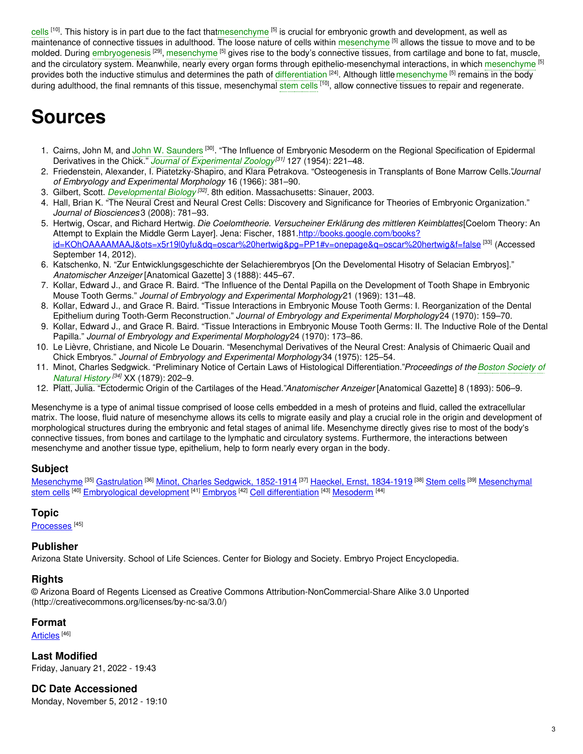cells <sup>[10]</sup>. This history is in part due to the fact tha[tmesenchyme](https://embryo.asu.edu/search?text=mesenchyme) <sup>[5]</sup> is crucial for embryonic growth and development, as well as maintenance of connective tissues in adulthood. The loose nature of cells within [mesenchyme](https://embryo.asu.edu/search?text=mesenchyme) [5] allows the tissue to move and to be molded. During [embryogenesis](https://embryo.asu.edu/search?text=embryogenesis) <sup>[29]</sup>, [mesenchyme](https://embryo.asu.edu/search?text=mesenchyme) <sup>[5]</sup> gives rise to the body's connective tissues, from cartilage and bone to fat, muscle, and the circulatory system. Meanwhile, nearly every organ forms through epithelio-mesenchymal interactions, in which [mesenchyme](https://embryo.asu.edu/search?text=mesenchyme) <sup>[5]</sup> provides both the inductive stimulus and determines the path of [differentiation](https://embryo.asu.edu/search?text=differentiation) <sup>[24]</sup>. Although little [mesenchyme](https://embryo.asu.edu/search?text=mesenchyme) <sup>[5]</sup> remains in the body during adulthood, the final remnants of this tissue, mesenchymal [stem](https://embryo.asu.edu/search?text=stem%20cells) cells <sup>[10]</sup>, allow connective tissues to repair and regenerate.

# **Sources**

- 1. Cairns, John M, and John W. [Saunders](https://embryo.asu.edu/search?text=John%20W.%20Saunders)<sup>[30]</sup>. "The Influence of Embryonic Mesoderm on the Regional Specification of Epidermal Derivatives in the Chick." *Journal of [Experimental](https://embryo.asu.edu/search?text=Journal%20of%20Experimental%20Zoology) Zoology [31]* 127 (1954): 221–48.
- 2. Friedenstein, Alexander, I. Piatetzky-Shapiro, and Klara Petrakova. "Osteogenesis in Transplants of Bone Marrow Cells."*Journal of Embryology and Experimental Morphology* 16 (1966): 381–90.
- 3. Gilbert, Scott. *[Developmental](https://embryo.asu.edu/search?text=Developmental%20Biology) Biology [32] .* 8th edition. Massachusetts: Sinauer, 2003.
- 4. Hall, Brian K. "The Neural Crest and Neural Crest Cells: Discovery and Significance for Theories of Embryonic Organization." *Journal of Biosciences* 3 (2008): 781–93.
- 5. Hertwig, Oscar, and Richard Hertwig. *Die Coelomtheorie. Versucheiner Erklärung des mittleren Keimblattes*[Coelom Theory: An Attempt to Explain the Middle Germ Layer]. Jena: Fischer, 1881.http://books.google.com/books? <u>[id=KOhOAAAAMAAJ&ots=x5r19l0yfu&dq=oscar%20hertwig&pg=PP1#v=onepage&q=oscar%20hertwig&f=false](http://books.google.com/books?id=KOhOAAAAMAAJ&ots=x5r19l0yfu&dq=oscar%20hertwig&pg=PP1#v=onepage&q=oscar%20hertwig&f=false) <sup>[33]</sup> (Accessed</u> September 14, 2012).
- 6. Katschenko, N. "Zur Entwicklungsgeschichte der Selachierembryos [On the Develomental Hisotry of Selacian Embryos]." *Anatomischer Anzeiger* [Anatomical Gazette] 3 (1888): 445–67.
- 7. Kollar, Edward J., and Grace R. Baird. "The Influence of the Dental Papilla on the Development of Tooth Shape in Embryonic Mouse Tooth Germs." *Journal of Embryology and Experimental Morphology*21 (1969): 131–48.
- 8. Kollar, Edward J., and Grace R. Baird. "Tissue Interactions in Embryonic Mouse Tooth Germs: I. Reorganization of the Dental Epithelium during Tooth-Germ Reconstruction." *Journal of Embryology and Experimental Morphology*24 (1970): 159–70.
- 9. Kollar, Edward J., and Grace R. Baird. "Tissue Interactions in Embryonic Mouse Tooth Germs: II. The Inductive Role of the Dental Papilla." *Journal of Embryology and Experimental Morphology*24 (1970): 173–86.
- 10. Le Lièvre, Christiane, and Nicole Le Douarin. "Mesenchymal Derivatives of the Neural Crest: Analysis of Chimaeric Quail and Chick Embryos." *Journal of Embryology and Experimental Morphology*34 (1975): 125–54.
- 11. Minot, Charles Sedgwick. "Preliminary Notice of Certain Laws of Histological [Differentiation."](https://embryo.asu.edu/search?text=Boston%20Society%20of%20Natural%20History)*Proceedings of the Boston Society of Natural History [34]* XX (1879): 202–9.
- 12. Platt, Julia. "Ectodermic Origin of the Cartilages of the Head."*Anatomischer Anzeiger* [Anatomical Gazette] 8 (1893): 506–9.

Mesenchyme is a type of animal tissue comprised of loose cells embedded in a mesh of proteins and fluid, called the extracellular matrix. The loose, fluid nature of mesenchyme allows its cells to migrate easily and play a crucial role in the origin and development of morphological structures during the embryonic and fetal stages of animal life. Mesenchyme directly gives rise to most of the body's connective tissues, from bones and cartilage to the lymphatic and circulatory systems. Furthermore, the interactions between mesenchyme and another tissue type, epithelium, help to form nearly every organ in the body.

#### **Subject**

[Mesenchyme](https://embryo.asu.edu/library-congress-subject-headings/mesenchyme) <sup>[35]</sup> [Gastrulation](https://embryo.asu.edu/library-congress-subject-headings/gastrulation) <sup>[36]</sup> Minot, Charles Sedgwick, [1852-1914](https://embryo.asu.edu/library-congress-subject-headings/minot-charles-sedgwick-1852-1914) <sup>[37]</sup> Haeckel, Ernst, [1834-1919](https://embryo.asu.edu/library-congress-subject-headings/haeckel-ernst-1834-1919) <sup>[38]</sup> [Stem](https://embryo.asu.edu/library-congress-subject-headings/stem-cells-0) cells <sup>[39]</sup> [Mesenchymal](https://embryo.asu.edu/library-congress-subject-headings/mesenchymal-stem-cells) <u>stem cells <sup>[40]</sup> [Embryological](https://embryo.asu.edu/library-congress-subject-headings/embryological-development) development</u> <sup>[41]</sup> E<u>mbryos <sup>[42]</sup> Cell [differentiation](https://embryo.asu.edu/library-congress-subject-headings/cell-differentiation)</u> [<sup>43]</sup> <u>[Mesoderm](https://embryo.asu.edu/medical-subject-headings/mesoderm)</u> <sup>[44]</sup>

#### **Topic**

[Processes](https://embryo.asu.edu/topics/processes)<sup>[45]</sup>

#### **Publisher**

Arizona State University. School of Life Sciences. Center for Biology and Society. Embryo Project Encyclopedia.

#### **Rights**

© Arizona Board of Regents Licensed as Creative Commons Attribution-NonCommercial-Share Alike 3.0 Unported (http://creativecommons.org/licenses/by-nc-sa/3.0/)

#### **Format**

<u>[Articles](https://embryo.asu.edu/formats/articles)</u> [<sup>46]</sup>

**Last Modified** Friday, January 21, 2022 - 19:43

**DC Date Accessioned** Monday, November 5, 2012 - 19:10